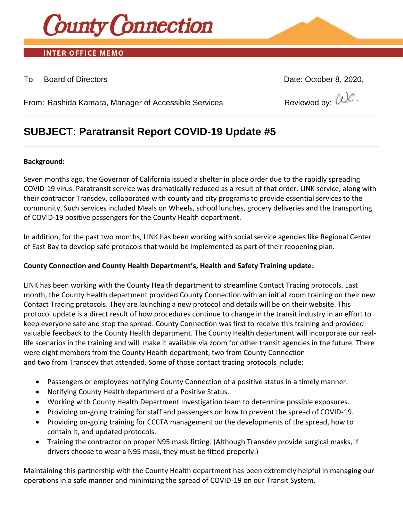

# **INTER OFFICE MEMO**

## To: Board of Directors Date: October 8, 2020,

From: Rashida Kamara, Manager of Accessible Services  $\qquad \qquad \qquad \qquad \qquad \text{Reviewed by: } \mathcal{W}^{\mathcal{C}}.$ 

# **SUBJECT: Paratransit Report COVID-19 Update #5**

#### **Background:**

Seven months ago, the Governor of California issued a shelter in place order due to the rapidly spreading COVID-19 virus. Paratransit service was dramatically reduced as a result of that order. LINK service, along with their contractor Transdev, collaborated with county and city programs to provide essential services to the community. Such services included Meals on Wheels, school lunches, grocery deliveries and the transporting of COVID-19 positive passengers for the County Health department.

In addition, for the past two months, LINK has been working with social service agencies like Regional Center of East Bay to develop safe protocols that would be implemented as part of their reopening plan.

### **County Connection and County Health Department's, Health and Safety Training update:**

LINK has been working with the County Health department to streamline Contact Tracing protocols. Last month, the County Health department provided County Connection with an initial zoom training on their new Contact Tracing protocols. They are launching a new protocol and details will be on their website. This protocol update is a direct result of how procedures continue to change in the transit industry in an effort to keep everyone safe and stop the spread. County Connection was first to receive this training and provided valuable feedback to the County Health department. The County Health department will incorporate our reallife scenarios in the training and will make it available via zoom for other transit agencies in the future. There were eight members from the County Health department, two from County Connection and two from Transdev that attended. Some of those contact tracing protocols include:

- Passengers or employees notifying County Connection of a positive status in a timely manner.
- Notifying County Health department of a Positive Status.
- Working with County Health Department Investigation team to determine possible exposures.
- Providing on-going training for staff and passengers on how to prevent the spread of COVID-19.
- Providing on-going training for CCCTA management on the developments of the spread, how to contain it, and updated protocols.
- Training the contractor on proper N95 mask fitting. (Although Transdev provide surgical masks, if drivers choose to wear a N95 mask, they must be fitted properly.)

Maintaining this partnership with the County Health department has been extremely helpful in managing our operations in a safe manner and minimizing the spread of COVID-19 on our Transit System.